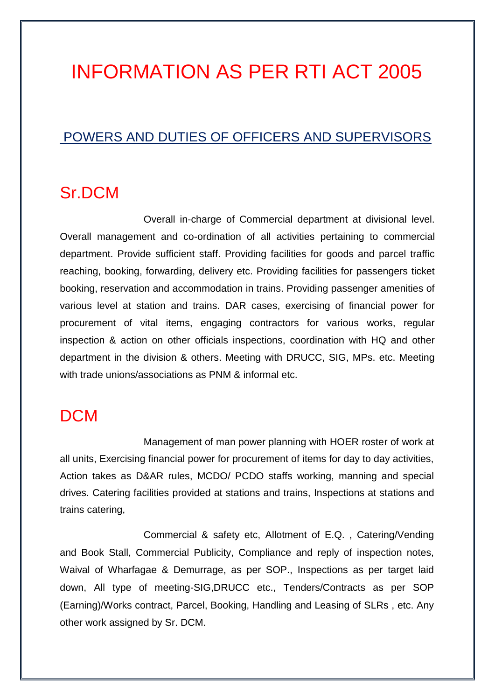# INFORMATION AS PER RTI ACT 2005

#### POWERS AND DUTIES OF OFFICERS AND SUPERVISORS

#### Sr.DCM

Overall in-charge of Commercial department at divisional level. Overall management and co-ordination of all activities pertaining to commercial department. Provide sufficient staff. Providing facilities for goods and parcel traffic reaching, booking, forwarding, delivery etc. Providing facilities for passengers ticket booking, reservation and accommodation in trains. Providing passenger amenities of various level at station and trains. DAR cases, exercising of financial power for procurement of vital items, engaging contractors for various works, regular inspection & action on other officials inspections, coordination with HQ and other department in the division & others. Meeting with DRUCC, SIG, MPs. etc. Meeting with trade unions/associations as PNM & informal etc.

### **DCM**

Management of man power planning with HOER roster of work at all units, Exercising financial power for procurement of items for day to day activities, Action takes as D&AR rules, MCDO/ PCDO staffs working, manning and special drives. Catering facilities provided at stations and trains, Inspections at stations and trains catering,

Commercial & safety etc, Allotment of E.Q. , Catering/Vending and Book Stall, Commercial Publicity, Compliance and reply of inspection notes, Waival of Wharfagae & Demurrage, as per SOP., Inspections as per target laid down, All type of meeting-SIG,DRUCC etc., Tenders/Contracts as per SOP (Earning)/Works contract, Parcel, Booking, Handling and Leasing of SLRs , etc. Any other work assigned by Sr. DCM.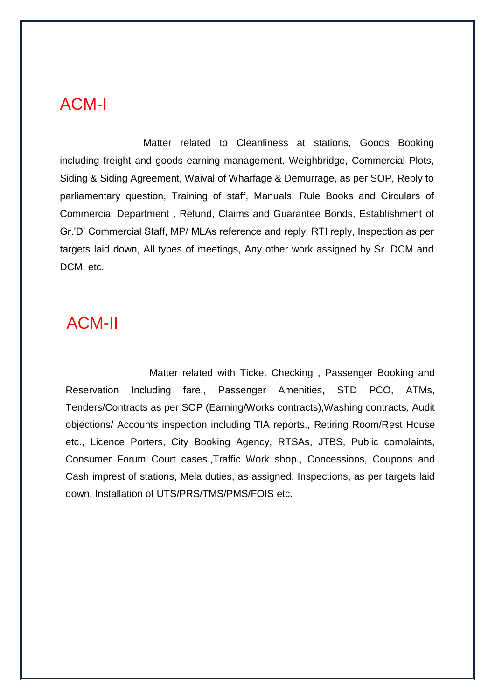### ACM-I

Matter related to Cleanliness at stations, Goods Booking including freight and goods earning management, Weighbridge, Commercial Plots, Siding & Siding Agreement, Waival of Wharfage & Demurrage, as per SOP, Reply to parliamentary question, Training of staff, Manuals, Rule Books and Circulars of Commercial Department , Refund, Claims and Guarantee Bonds, Establishment of Gr.'D' Commercial Staff, MP/ MLAs reference and reply, RTI reply, Inspection as per targets laid down, All types of meetings, Any other work assigned by Sr. DCM and DCM, etc.

## ACM-II

Matter related with Ticket Checking , Passenger Booking and Reservation Including fare., Passenger Amenities, STD PCO, ATMs, Tenders/Contracts as per SOP (Earning/Works contracts),Washing contracts, Audit objections/ Accounts inspection including TIA reports., Retiring Room/Rest House etc., Licence Porters, City Booking Agency, RTSAs, JTBS, Public complaints, Consumer Forum Court cases.,Traffic Work shop., Concessions, Coupons and Cash imprest of stations, Mela duties, as assigned, Inspections, as per targets laid down, Installation of UTS/PRS/TMS/PMS/FOIS etc.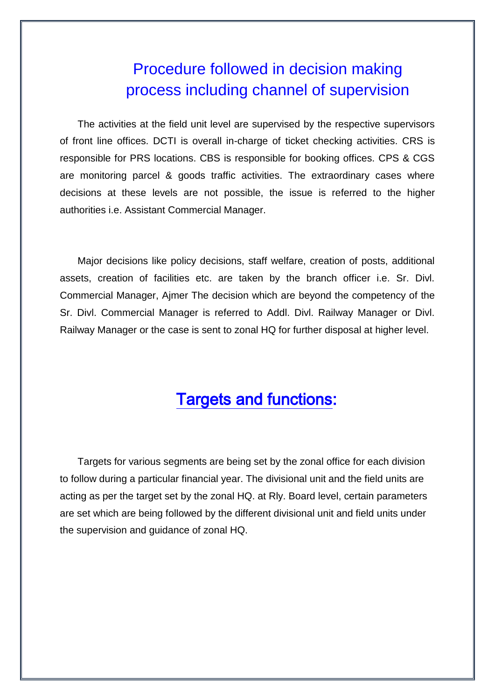## Procedure followed in decision making process including channel of supervision

The activities at the field unit level are supervised by the respective supervisors of front line offices. DCTI is overall in-charge of ticket checking activities. CRS is responsible for PRS locations. CBS is responsible for booking offices. CPS & CGS are monitoring parcel & goods traffic activities. The extraordinary cases where decisions at these levels are not possible, the issue is referred to the higher authorities i.e. Assistant Commercial Manager.

Major decisions like policy decisions, staff welfare, creation of posts, additional assets, creation of facilities etc. are taken by the branch officer i.e. Sr. Divl. Commercial Manager, Ajmer The decision which are beyond the competency of the Sr. Divl. Commercial Manager is referred to Addl. Divl. Railway Manager or Divl. Railway Manager or the case is sent to zonal HQ for further disposal at higher level.

## Targets and functions:

Targets for various segments are being set by the zonal office for each division to follow during a particular financial year. The divisional unit and the field units are acting as per the target set by the zonal HQ. at Rly. Board level, certain parameters are set which are being followed by the different divisional unit and field units under the supervision and guidance of zonal HQ.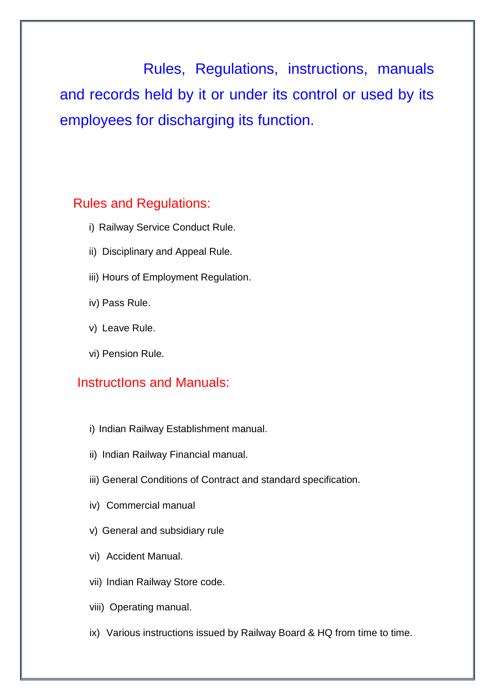Rules, Regulations, instructions, manuals and records held by it or under its control or used by its employees for discharging its function.

#### Rules and Regulations:

- i) Railway Service Conduct Rule.
- ii) Disciplinary and Appeal Rule.
- iii) Hours of Employment Regulation.
- iv) Pass Rule.
- v) Leave Rule.
- vi) Pension Rule.

#### InstructIons and Manuals:

- i) Indian Railway Establishment manual.
- ii) Indian Railway Financial manual.
- iii) General Conditions of Contract and standard specification.
- iv) Commercial manual
- v) General and subsidiary rule
- vi) Accident Manual.
- vii) Indian Railway Store code.
- viii) Operating manual.
- ix) Various instructions issued by Railway Board & HQ from time to time.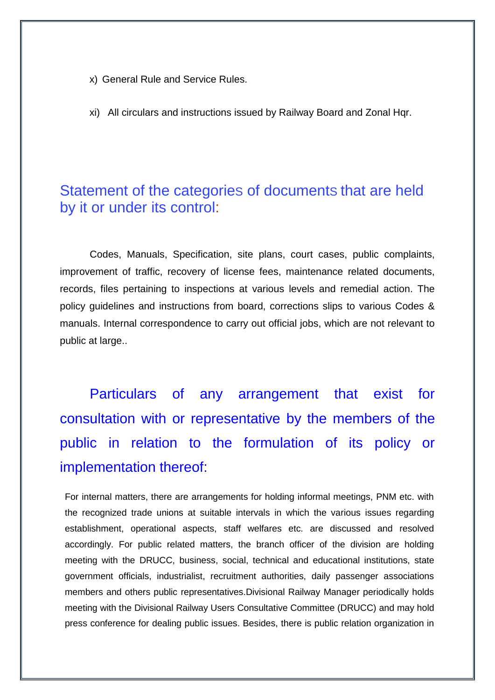- x) General Rule and Service Rules.
- xi) All circulars and instructions issued by Railway Board and Zonal Hqr.

#### Statement of the categories of documents that are held by it or under its control:

Codes, Manuals, Specification, site plans, court cases, public complaints, improvement of traffic, recovery of license fees, maintenance related documents, records, files pertaining to inspections at various levels and remedial action. The policy guidelines and instructions from board, corrections slips to various Codes & manuals. Internal correspondence to carry out official jobs, which are not relevant to public at large..

Particulars of any arrangement that exist for consultation with or representative by the members of the public in relation to the formulation of its policy or implementation thereof:

For internal matters, there are arrangements for holding informal meetings, PNM etc. with the recognized trade unions at suitable intervals in which the various issues regarding establishment, operational aspects, staff welfares etc. are discussed and resolved accordingly. For public related matters, the branch officer of the division are holding meeting with the DRUCC, business, social, technical and educational institutions, state government officials, industrialist, recruitment authorities, daily passenger associations members and others public representatives.Divisional Railway Manager periodically holds meeting with the Divisional Railway Users Consultative Committee (DRUCC) and may hold press conference for dealing public issues. Besides, there is public relation organization in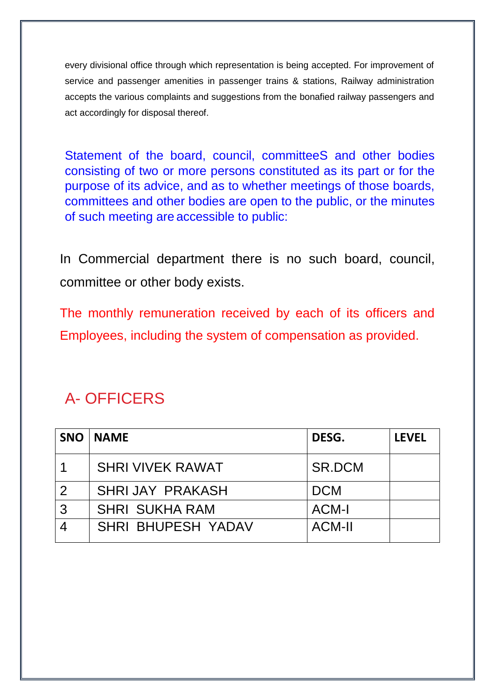every divisional office through which representation is being accepted. For improvement of service and passenger amenities in passenger trains & stations, Railway administration accepts the various complaints and suggestions from the bonafied railway passengers and act accordingly for disposal thereof.

Statement of the board, council, committeeS and other bodies consisting of two or more persons constituted as its part or for the purpose of its advice, and as to whether meetings of those boards, committees and other bodies are open to the public, or the minutes of such meeting are accessible to public:

In Commercial department there is no such board, council, committee or other body exists.

The monthly remuneration received by each of its officers and Employees, including the system of compensation as provided.

## A- OFFICERS

| <b>SNO</b>     | <b>NAME</b>               | DESG.         | <b>LEVEL</b> |
|----------------|---------------------------|---------------|--------------|
|                | <b>SHRI VIVEK RAWAT</b>   | SR.DCM        |              |
| $\overline{2}$ | SHRIJAY PRAKASH           | <b>DCM</b>    |              |
| $\overline{3}$ | <b>SHRI SUKHA RAM</b>     | <b>ACM-I</b>  |              |
|                | <b>SHRI BHUPESH YADAV</b> | <b>ACM-II</b> |              |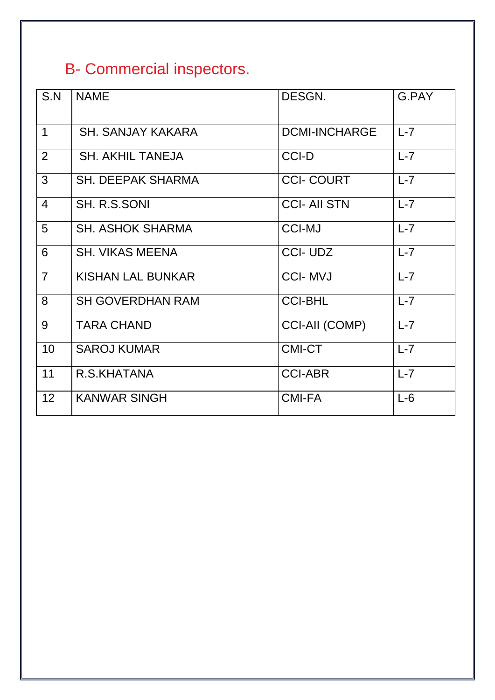## B- Commercial inspectors.

| S.N             | <b>NAME</b>              | DESGN.                | G.PAY   |
|-----------------|--------------------------|-----------------------|---------|
| $\overline{1}$  | <b>SH. SANJAY KAKARA</b> | <b>DCMI-INCHARGE</b>  | $L-7$   |
| $\overline{2}$  | <b>SH. AKHIL TANEJA</b>  | <b>CCI-D</b>          | $L-7$   |
| 3               | <b>SH. DEEPAK SHARMA</b> | <b>CCI-COURT</b>      | $L-7$   |
| $\overline{4}$  | SH. R.S.SONI             | <b>CCI-AII STN</b>    | $L-7$   |
| 5               | <b>SH. ASHOK SHARMA</b>  | <b>CCI-MJ</b>         | $L-7$   |
| 6               | <b>SH. VIKAS MEENA</b>   | <b>CCI-UDZ</b>        | $L-7$   |
| $\overline{7}$  | <b>KISHAN LAL BUNKAR</b> | <b>CCI-MVJ</b>        | $L-7$   |
| 8               | <b>SH GOVERDHAN RAM</b>  | <b>CCI-BHL</b>        | $L-7$   |
| 9               | <b>TARA CHAND</b>        | <b>CCI-AII (COMP)</b> | $L-7$   |
| 10              | <b>SAROJ KUMAR</b>       | <b>CMI-CT</b>         | $L - 7$ |
| 11              | R.S.KHATANA              | <b>CCI-ABR</b>        | $L-7$   |
| 12 <sup>2</sup> | <b>KANWAR SINGH</b>      | <b>CMI-FA</b>         | $L-6$   |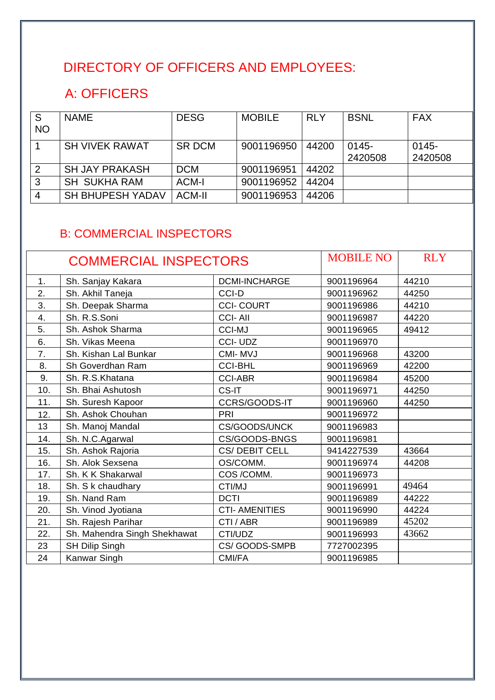## DIRECTORY OF OFFICERS AND EMPLOYEES:

## A: OFFICERS

| S<br><b>NO</b> | <b>NAME</b>             | <b>DESG</b>   | <b>MOBILE</b> | <b>RLY</b> | <b>BSNL</b>      | <b>FAX</b>          |
|----------------|-------------------------|---------------|---------------|------------|------------------|---------------------|
|                | <b>SH VIVEK RAWAT</b>   | <b>SR DCM</b> | 9001196950    | 44200      | 0145-<br>2420508 | $0145 -$<br>2420508 |
|                | <b>SH JAY PRAKASH</b>   | <b>DCM</b>    | 9001196951    | 44202      |                  |                     |
|                | <b>SH SUKHA RAM</b>     | <b>ACM-I</b>  | 9001196952    | 44204      |                  |                     |
| 4              | <b>SH BHUPESH YADAV</b> | <b>ACM-II</b> | 9001196953    | 44206      |                  |                     |

#### B: COMMERCIAL INSPECTORS

| <b>COMMERCIAL INSPECTORS</b> |                              |                      | <b>MOBILE NO</b> | <b>RLY</b> |
|------------------------------|------------------------------|----------------------|------------------|------------|
| 1.                           | Sh. Sanjay Kakara            | <b>DCMI-INCHARGE</b> | 9001196964       | 44210      |
| 2.                           | Sh. Akhil Taneja             | <b>CCI-D</b>         | 9001196962       | 44250      |
| 3.                           | Sh. Deepak Sharma            | <b>CCI-COURT</b>     | 9001196986       | 44210      |
| 4.                           | Sh. R.S.Soni                 | <b>CCI-AII</b>       | 9001196987       | 44220      |
| 5.                           | Sh. Ashok Sharma             | <b>CCI-MJ</b>        | 9001196965       | 49412      |
| 6.                           | Sh. Vikas Meena              | <b>CCI-UDZ</b>       | 9001196970       |            |
| 7.                           | Sh. Kishan Lal Bunkar        | CMI-MVJ              | 9001196968       | 43200      |
| 8.                           | Sh Goverdhan Ram             | <b>CCI-BHL</b>       | 9001196969       | 42200      |
| 9.                           | Sh. R.S.Khatana              | <b>CCI-ABR</b>       | 9001196984       | 45200      |
| 10.                          | Sh. Bhai Ashutosh            | CS-IT                | 9001196971       | 44250      |
| 11.                          | Sh. Suresh Kapoor            | CCRS/GOODS-IT        | 9001196960       | 44250      |
| 12.                          | Sh. Ashok Chouhan            | PRI                  | 9001196972       |            |
| 13                           | Sh. Manoj Mandal             | CS/GOODS/UNCK        | 9001196983       |            |
| 14.                          | Sh. N.C.Agarwal              | CS/GOODS-BNGS        | 9001196981       |            |
| 15.                          | Sh. Ashok Rajoria            | CS/DEBIT CELL        | 9414227539       | 43664      |
| 16.                          | Sh. Alok Sexsena             | OS/COMM.             | 9001196974       | 44208      |
| 17.                          | Sh. K K Shakarwal            | COS/COMM.            | 9001196973       |            |
| 18.                          | Sh. S k chaudhary            | CTI/MJ               | 9001196991       | 49464      |
| 19.                          | Sh. Nand Ram                 | <b>DCTI</b>          | 9001196989       | 44222      |
| 20.                          | Sh. Vinod Jyotiana           | <b>CTI-AMENITIES</b> | 9001196990       | 44224      |
| 21.                          | Sh. Rajesh Parihar           | CTI / ABR            | 9001196989       | 45202      |
| 22.                          | Sh. Mahendra Singh Shekhawat | CTI/UDZ              | 9001196993       | 43662      |
| 23                           | <b>SH Dilip Singh</b>        | CS/GOODS-SMPB        | 7727002395       |            |
| 24                           | Kanwar Singh                 | CMI/FA               | 9001196985       |            |